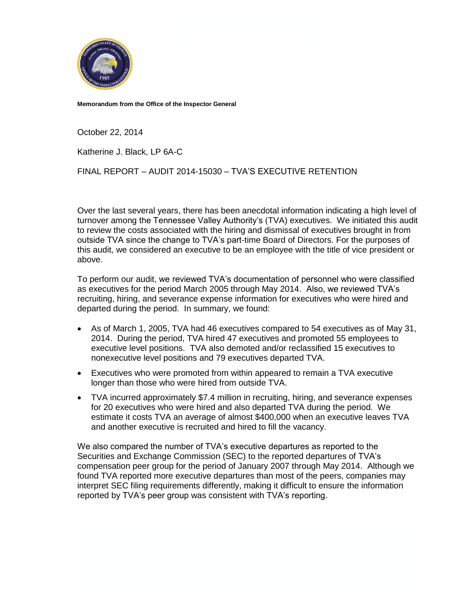

**Memorandum from the Office of the Inspector General**

October 22, 2014

Katherine J. Black, LP 6A-C

FINAL REPORT – AUDIT 2014-15030 – TVA'S EXECUTIVE RETENTION

Over the last several years, there has been anecdotal information indicating a high level of turnover among the Tennessee Valley Authority's (TVA) executives. We initiated this audit to review the costs associated with the hiring and dismissal of executives brought in from outside TVA since the change to TVA's part-time Board of Directors. For the purposes of this audit, we considered an executive to be an employee with the title of vice president or above.

To perform our audit, we reviewed TVA's documentation of personnel who were classified as executives for the period March 2005 through May 2014. Also, we reviewed TVA's recruiting, hiring, and severance expense information for executives who were hired and departed during the period. In summary, we found:

- As of March 1, 2005, TVA had 46 executives compared to 54 executives as of May 31, 2014. During the period, TVA hired 47 executives and promoted 55 employees to executive level positions. TVA also demoted and/or reclassified 15 executives to nonexecutive level positions and 79 executives departed TVA.
- Executives who were promoted from within appeared to remain a TVA executive longer than those who were hired from outside TVA.
- TVA incurred approximately \$7.4 million in recruiting, hiring, and severance expenses for 20 executives who were hired and also departed TVA during the period. We estimate it costs TVA an average of almost \$400,000 when an executive leaves TVA and another executive is recruited and hired to fill the vacancy.

We also compared the number of TVA's executive departures as reported to the Securities and Exchange Commission (SEC) to the reported departures of TVA's compensation peer group for the period of January 2007 through May 2014. Although we found TVA reported more executive departures than most of the peers, companies may interpret SEC filing requirements differently, making it difficult to ensure the information reported by TVA's peer group was consistent with TVA's reporting.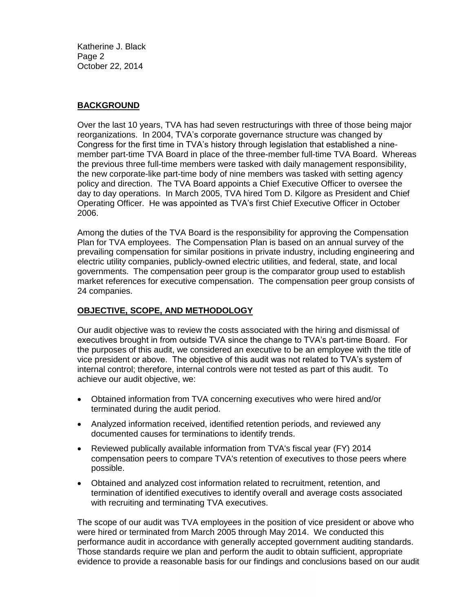Katherine J. Black Page 2 October 22, 2014

## **BACKGROUND**

Over the last 10 years, TVA has had seven restructurings with three of those being major reorganizations. In 2004, TVA's corporate governance structure was changed by Congress for the first time in TVA's history through legislation that established a ninemember part-time TVA Board in place of the three-member full-time TVA Board. Whereas the previous three full-time members were tasked with daily management responsibility, the new corporate-like part-time body of nine members was tasked with setting agency policy and direction. The TVA Board appoints a Chief Executive Officer to oversee the day to day operations. In March 2005, TVA hired Tom D. Kilgore as President and Chief Operating Officer. He was appointed as TVA's first Chief Executive Officer in October 2006.

Among the duties of the TVA Board is the responsibility for approving the Compensation Plan for TVA employees. The Compensation Plan is based on an annual survey of the prevailing compensation for similar positions in private industry, including engineering and electric utility companies, publicly-owned electric utilities, and federal, state, and local governments. The compensation peer group is the comparator group used to establish market references for executive compensation. The compensation peer group consists of 24 companies.

### **OBJECTIVE, SCOPE, AND METHODOLOGY**

Our audit objective was to review the costs associated with the hiring and dismissal of executives brought in from outside TVA since the change to TVA's part-time Board. For the purposes of this audit, we considered an executive to be an employee with the title of vice president or above. The objective of this audit was not related to TVA's system of internal control; therefore, internal controls were not tested as part of this audit. To achieve our audit objective, we:

- Obtained information from TVA concerning executives who were hired and/or terminated during the audit period.
- Analyzed information received, identified retention periods, and reviewed any documented causes for terminations to identify trends.
- Reviewed publically available information from TVA's fiscal year (FY) 2014 compensation peers to compare TVA's retention of executives to those peers where possible.
- Obtained and analyzed cost information related to recruitment, retention, and termination of identified executives to identify overall and average costs associated with recruiting and terminating TVA executives.

The scope of our audit was TVA employees in the position of vice president or above who were hired or terminated from March 2005 through May 2014. We conducted this performance audit in accordance with generally accepted government auditing standards. Those standards require we plan and perform the audit to obtain sufficient, appropriate evidence to provide a reasonable basis for our findings and conclusions based on our audit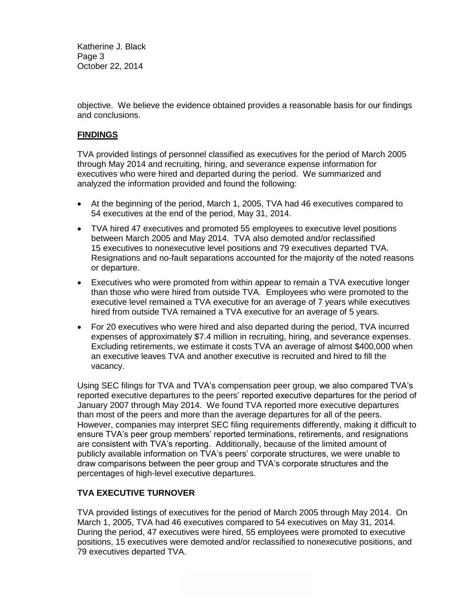Katherine J. Black Page 3 October 22, 2014

objective. We believe the evidence obtained provides a reasonable basis for our findings and conclusions.

#### **FINDINGS**

TVA provided listings of personnel classified as executives for the period of March 2005 through May 2014 and recruiting, hiring, and severance expense information for executives who were hired and departed during the period. We summarized and analyzed the information provided and found the following:

- At the beginning of the period, March 1, 2005, TVA had 46 executives compared to 54 executives at the end of the period, May 31, 2014.
- TVA hired 47 executives and promoted 55 employees to executive level positions between March 2005 and May 2014. TVA also demoted and/or reclassified 15 executives to nonexecutive level positions and 79 executives departed TVA. Resignations and no-fault separations accounted for the majority of the noted reasons or departure.
- Executives who were promoted from within appear to remain a TVA executive longer than those who were hired from outside TVA. Employees who were promoted to the executive level remained a TVA executive for an average of 7 years while executives hired from outside TVA remained a TVA executive for an average of 5 years.
- For 20 executives who were hired and also departed during the period, TVA incurred expenses of approximately \$7.4 million in recruiting, hiring, and severance expenses. Excluding retirements, we estimate it costs TVA an average of almost \$400,000 when an executive leaves TVA and another executive is recruited and hired to fill the vacancy.

Using SEC filings for TVA and TVA's compensation peer group, we also compared TVA's reported executive departures to the peers' reported executive departures for the period of January 2007 through May 2014. We found TVA reported more executive departures than most of the peers and more than the average departures for all of the peers. However, companies may interpret SEC filing requirements differently, making it difficult to ensure TVA's peer group members' reported terminations, retirements, and resignations are consistent with TVA's reporting. Additionally, because of the limited amount of publicly available information on TVA's peers' corporate structures, we were unable to draw comparisons between the peer group and TVA's corporate structures and the percentages of high-level executive departures.

#### **TVA EXECUTIVE TURNOVER**

TVA provided listings of executives for the period of March 2005 through May 2014. On March 1, 2005, TVA had 46 executives compared to 54 executives on May 31, 2014. During the period, 47 executives were hired, 55 employees were promoted to executive positions, 15 executives were demoted and/or reclassified to nonexecutive positions, and 79 executives departed TVA.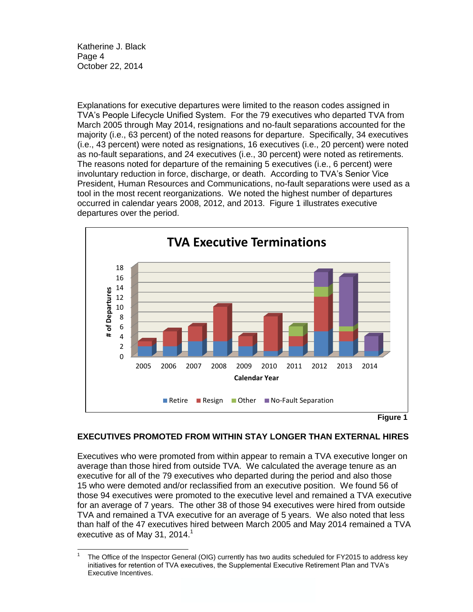Katherine J. Black Page 4 October 22, 2014

Explanations for executive departures were limited to the reason codes assigned in TVA's People Lifecycle Unified System. For the 79 executives who departed TVA from March 2005 through May 2014, resignations and no-fault separations accounted for the majority (i.e., 63 percent) of the noted reasons for departure. Specifically, 34 executives (i.e., 43 percent) were noted as resignations, 16 executives (i.e., 20 percent) were noted as no-fault separations, and 24 executives (i.e., 30 percent) were noted as retirements. The reasons noted for departure of the remaining 5 executives (i.e., 6 percent) were involuntary reduction in force, discharge, or death. According to TVA's Senior Vice President, Human Resources and Communications, no-fault separations were used as a tool in the most recent reorganizations. We noted the highest number of departures occurred in calendar years 2008, 2012, and 2013. Figure 1 illustrates executive departures over the period.



**Figure 1**

#### **EXECUTIVES PROMOTED FROM WITHIN STAY LONGER THAN EXTERNAL HIRES**

Executives who were promoted from within appear to remain a TVA executive longer on average than those hired from outside TVA. We calculated the average tenure as an executive for all of the 79 executives who departed during the period and also those 15 who were demoted and/or reclassified from an executive position. We found 56 of those 94 executives were promoted to the executive level and remained a TVA executive for an average of 7 years. The other 38 of those 94 executives were hired from outside TVA and remained a TVA executive for an average of 5 years. We also noted that less than half of the 47 executives hired between March 2005 and May 2014 remained a TVA executive as of May 31, 2014.<sup>1</sup>

 $\frac{1}{1}$ The Office of the Inspector General (OIG) currently has two audits scheduled for FY2015 to address key initiatives for retention of TVA executives, the Supplemental Executive Retirement Plan and TVA's Executive Incentives.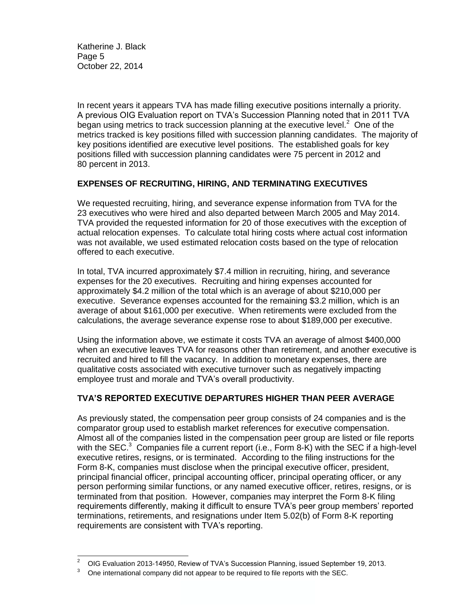Katherine J. Black Page 5 October 22, 2014

In recent years it appears TVA has made filling executive positions internally a priority. A previous OIG Evaluation report on TVA's Succession Planning noted that in 2011 TVA began using metrics to track succession planning at the executive level. $2$  One of the metrics tracked is key positions filled with succession planning candidates. The majority of key positions identified are executive level positions. The established goals for key positions filled with succession planning candidates were 75 percent in 2012 and 80 percent in 2013.

#### **EXPENSES OF RECRUITING, HIRING, AND TERMINATING EXECUTIVES**

We requested recruiting, hiring, and severance expense information from TVA for the 23 executives who were hired and also departed between March 2005 and May 2014. TVA provided the requested information for 20 of those executives with the exception of actual relocation expenses. To calculate total hiring costs where actual cost information was not available, we used estimated relocation costs based on the type of relocation offered to each executive.

In total, TVA incurred approximately \$7.4 million in recruiting, hiring, and severance expenses for the 20 executives. Recruiting and hiring expenses accounted for approximately \$4.2 million of the total which is an average of about \$210,000 per executive. Severance expenses accounted for the remaining \$3.2 million, which is an average of about \$161,000 per executive. When retirements were excluded from the calculations, the average severance expense rose to about \$189,000 per executive.

Using the information above, we estimate it costs TVA an average of almost \$400,000 when an executive leaves TVA for reasons other than retirement, and another executive is recruited and hired to fill the vacancy. In addition to monetary expenses, there are qualitative costs associated with executive turnover such as negatively impacting employee trust and morale and TVA's overall productivity.

# **TVA'S REPORTED EXECUTIVE DEPARTURES HIGHER THAN PEER AVERAGE**

As previously stated, the compensation peer group consists of 24 companies and is the comparator group used to establish market references for executive compensation. Almost all of the companies listed in the compensation peer group are listed or file reports with the SEC.<sup>3</sup> Companies file a current report (i.e., Form 8-K) with the SEC if a high-level executive retires, resigns, or is terminated. According to the filing instructions for the Form 8-K, companies must disclose when the principal executive officer, president, principal financial officer, principal accounting officer, principal operating officer, or any person performing similar functions, or any named executive officer, retires, resigns, or is terminated from that position. However, companies may interpret the Form 8-K filing requirements differently, making it difficult to ensure TVA's peer group members' reported terminations, retirements, and resignations under Item 5.02(b) of Form 8-K reporting requirements are consistent with TVA's reporting.

l <sup>2</sup> OIG Evaluation 2013-14950, Review of TVA's Succession Planning, issued September 19, 2013.

 $3$  One international company did not appear to be required to file reports with the SEC.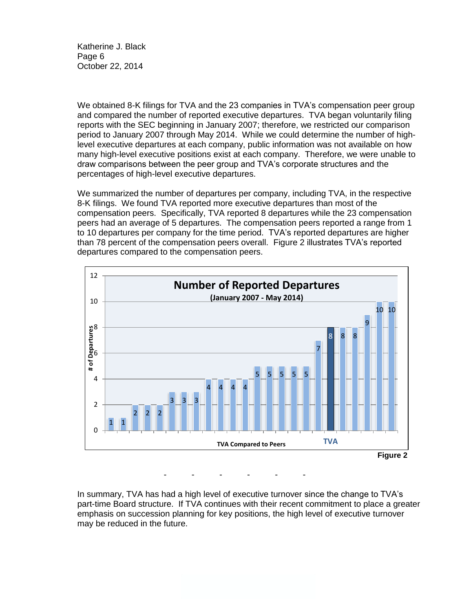Katherine J. Black Page 6 October 22, 2014

We obtained 8-K filings for TVA and the 23 companies in TVA's compensation peer group and compared the number of reported executive departures. TVA began voluntarily filing reports with the SEC beginning in January 2007; therefore, we restricted our comparison period to January 2007 through May 2014. While we could determine the number of highlevel executive departures at each company, public information was not available on how many high-level executive positions exist at each company. Therefore, we were unable to draw comparisons between the peer group and TVA's corporate structures and the percentages of high-level executive departures.

We summarized the number of departures per company, including TVA, in the respective 8-K filings. We found TVA reported more executive departures than most of the compensation peers. Specifically, TVA reported 8 departures while the 23 compensation peers had an average of 5 departures. The compensation peers reported a range from 1 to 10 departures per company for the time period. TVA's reported departures are higher than 78 percent of the compensation peers overall. Figure 2 illustrates TVA's reported departures compared to the compensation peers.



- - - - - -

In summary, TVA has had a high level of executive turnover since the change to TVA's part-time Board structure. If TVA continues with their recent commitment to place a greater emphasis on succession planning for key positions, the high level of executive turnover may be reduced in the future.